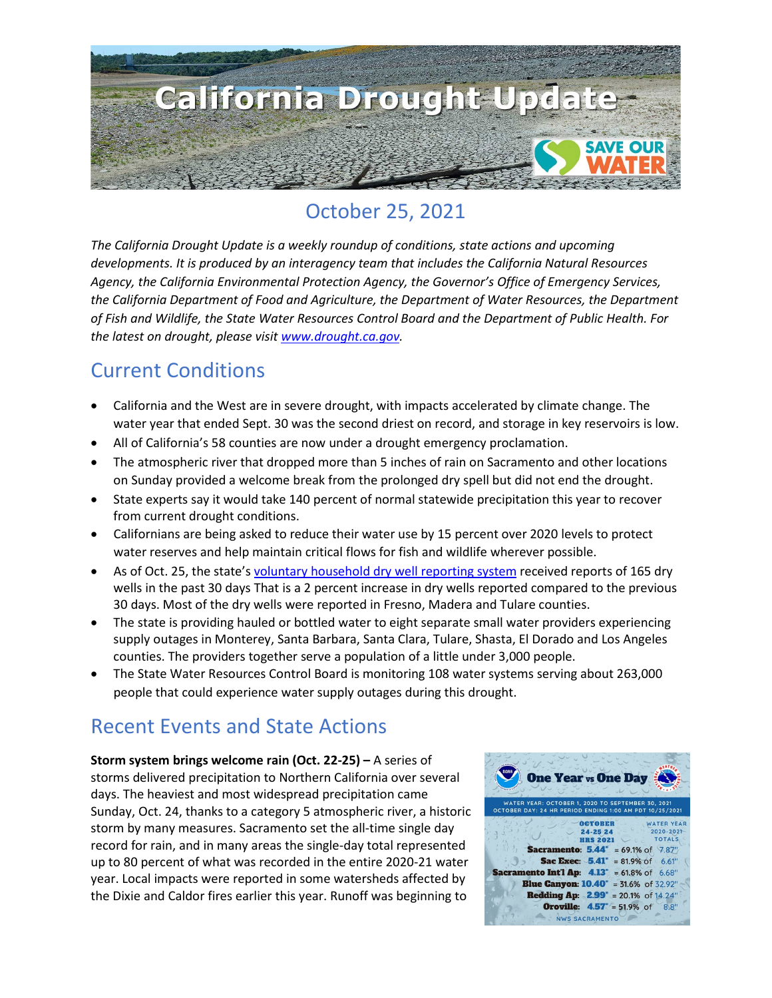

# October 25, 2021

*The California Drought Update is a weekly roundup of conditions, state actions and upcoming developments. It is produced by an interagency team that includes the California Natural Resources Agency, the California Environmental Protection Agency, the Governor's Office of Emergency Services, the California Department of Food and Agriculture, the Department of Water Resources, the Department of Fish and Wildlife, the State Water Resources Control Board and the Department of Public Health. For the latest on drought, please visit [www.drought.ca.gov.](http://www.drought.ca.gov/)* 

### Current Conditions

- California and the West are in severe drought, with impacts accelerated by climate change. The water year that ended Sept. 30 was the second driest on record, and storage in key reservoirs is low.
- All of California's 58 counties are now under a drought emergency proclamation.
- The atmospheric river that dropped more than 5 inches of rain on Sacramento and other locations on Sunday provided a welcome break from the prolonged dry spell but did not end the drought.
- State experts say it would take 140 percent of normal statewide precipitation this year to recover from current drought conditions.
- Californians are being asked to reduce their water use by 15 percent over 2020 levels to protect water reserves and help maintain critical flows for fish and wildlife wherever possible.
- As of Oct. 25, the state'[s voluntary household dry well reporting system](https://mydrywell.water.ca.gov/report/) received reports of 165 dry wells in the past 30 days That is a 2 percent increase in dry wells reported compared to the previous 30 days. Most of the dry wells were reported in Fresno, Madera and Tulare counties.
- The state is providing hauled or bottled water to eight separate small water providers experiencing supply outages in Monterey, Santa Barbara, Santa Clara, Tulare, Shasta, El Dorado and Los Angeles counties. The providers together serve a population of a little under 3,000 people.
- The State Water Resources Control Board is monitoring 108 water systems serving about 263,000 people that could experience water supply outages during this drought.

### Recent Events and State Actions

**Storm system brings welcome rain (Oct. 22-25) –** A series of storms delivered precipitation to Northern California over several days. The heaviest and most widespread precipitation came Sunday, Oct. 24, thanks to a category 5 atmospheric river, a historic storm by many measures. Sacramento set the all-time single day record for rain, and in many areas the single-day total represented up to 80 percent of what was recorded in the entire 2020-21 water year. Local impacts were reported in some watersheds affected by the Dixie and Caldor fires earlier this year. Runoff was beginning to

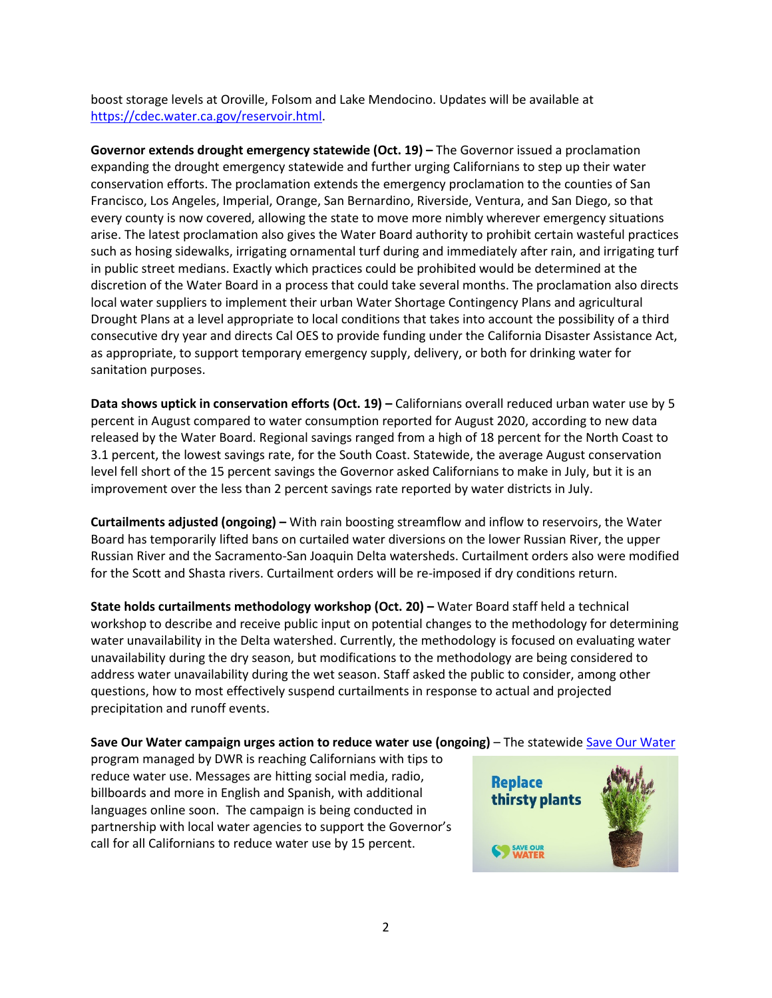boost storage levels at Oroville, Folsom and Lake Mendocino. Updates will be available at [https://cdec.water.ca.gov/reservoir.html.](https://cdec.water.ca.gov/reservoir.html)

**Governor extends drought emergency statewide (Oct. 19) –** The Governor issued a proclamation expanding the drought emergency statewide and further urging Californians to step up their water conservation efforts. The proclamation extends the emergency proclamation to the counties of San Francisco, Los Angeles, Imperial, Orange, San Bernardino, Riverside, Ventura, and San Diego, so that every county is now covered, allowing the state to move more nimbly wherever emergency situations arise. The latest proclamation also gives the Water Board authority to prohibit certain wasteful practices such as hosing sidewalks, irrigating ornamental turf during and immediately after rain, and irrigating turf in public street medians. Exactly which practices could be prohibited would be determined at the discretion of the Water Board in a process that could take several months. The proclamation also directs local water suppliers to implement their urban Water Shortage Contingency Plans and agricultural Drought Plans at a level appropriate to local conditions that takes into account the possibility of a third consecutive dry year and directs Cal OES to provide funding under the California Disaster Assistance Act, as appropriate, to support temporary emergency supply, delivery, or both for drinking water for sanitation purposes.

**Data shows uptick in conservation efforts (Oct. 19) –** Californians overall reduced urban water use by 5 percent in August compared to water consumption reported for August 2020, according to new data released by the Water Board. Regional savings ranged from a high of 18 percent for the North Coast to 3.1 percent, the lowest savings rate, for the South Coast. Statewide, the average August conservation level fell short of the 15 percent savings the Governor asked Californians to make in July, but it is an improvement over the less than 2 percent savings rate reported by water districts in July.

**Curtailments adjusted (ongoing) –** With rain boosting streamflow and inflow to reservoirs, the Water Board has temporarily lifted bans on curtailed water diversions on the lower Russian River, the upper Russian River and the Sacramento-San Joaquin Delta watersheds. Curtailment orders also were modified for the Scott and Shasta rivers. Curtailment orders will be re-imposed if dry conditions return.

**State holds curtailments methodology workshop (Oct. 20) –** Water Board staff held a technical workshop to describe and receive public input on potential changes to the methodology for determining water unavailability in the Delta watershed. Currently, the methodology is focused on evaluating water unavailability during the dry season, but modifications to the methodology are being considered to address water unavailability during the wet season. Staff asked the public to consider, among other questions, how to most effectively suspend curtailments in response to actual and projected precipitation and runoff events.

**Save Our Water campaign urges action to reduce water use (ongoing)** – The statewide [Save Our Water](https://saveourwater.com/)

program managed by DWR is reaching Californians with tips to reduce water use. Messages are hitting social media, radio, billboards and more in English and Spanish, with additional languages online soon. The campaign is being conducted in partnership with local water agencies to support the Governor's call for all Californians to reduce water use by 15 percent.

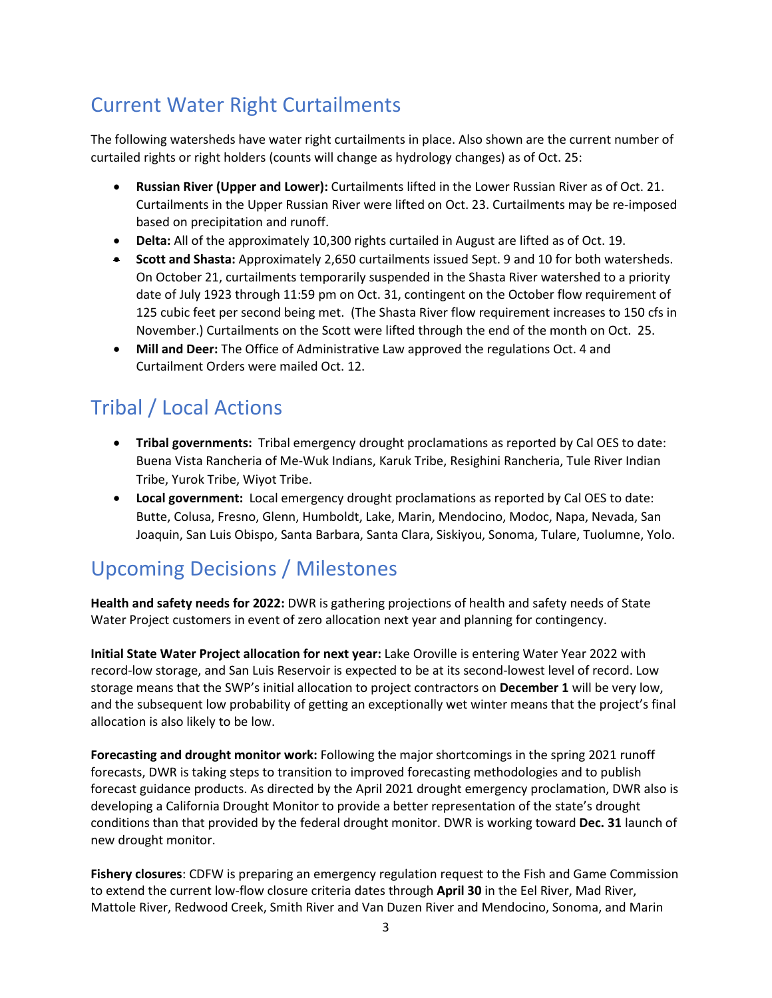# Current Water Right Curtailments

The following watersheds have water right curtailments in place. Also shown are the current number of curtailed rights or right holders (counts will change as hydrology changes) as of Oct. 25:

- **Russian River (Upper and Lower):** Curtailments lifted in the Lower Russian River as of Oct. 21. Curtailments in the Upper Russian River were lifted on Oct. 23. Curtailments may be re-imposed based on precipitation and runoff.
- **Delta:** All of the approximately 10,300 rights curtailed in August are lifted as of Oct. 19.
- **Scott and Shasta:** Approximately 2,650 curtailments issued Sept. 9 and 10 for both watersheds. On October 21, curtailments temporarily suspended in the Shasta River watershed to a priority date of July 1923 through 11:59 pm on Oct. 31, contingent on the October flow requirement of 125 cubic feet per second being met. (The Shasta River flow requirement increases to 150 cfs in November.) Curtailments on the Scott were lifted through the end of the month on Oct. 25.
- **Mill and Deer:** The Office of Administrative Law approved the regulations Oct. 4 and Curtailment Orders were mailed Oct. 12.

# Tribal / Local Actions

- **Tribal governments:** Tribal emergency drought proclamations as reported by Cal OES to date: Buena Vista Rancheria of Me-Wuk Indians, Karuk Tribe, Resighini Rancheria, Tule River Indian Tribe, Yurok Tribe, Wiyot Tribe.
- **Local government:** Local emergency drought proclamations as reported by Cal OES to date: Butte, Colusa, Fresno, Glenn, Humboldt, Lake, Marin, Mendocino, Modoc, Napa, Nevada, San Joaquin, San Luis Obispo, Santa Barbara, Santa Clara, Siskiyou, Sonoma, Tulare, Tuolumne, Yolo.

## Upcoming Decisions / Milestones

**Health and safety needs for 2022:** DWR is gathering projections of health and safety needs of State Water Project customers in event of zero allocation next year and planning for contingency.

**Initial State Water Project allocation for next year:** Lake Oroville is entering Water Year 2022 with record-low storage, and San Luis Reservoir is expected to be at its second-lowest level of record. Low storage means that the SWP's initial allocation to project contractors on **December 1** will be very low, and the subsequent low probability of getting an exceptionally wet winter means that the project's final allocation is also likely to be low.

**Forecasting and drought monitor work:** Following the major shortcomings in the spring 2021 runoff forecasts, DWR is taking steps to transition to improved forecasting methodologies and to publish forecast guidance products. As directed by the April 2021 drought emergency proclamation, DWR also is developing a California Drought Monitor to provide a better representation of the state's drought conditions than that provided by the federal drought monitor. DWR is working toward **Dec. 31** launch of new drought monitor.

**Fishery closures**: CDFW is preparing an emergency regulation request to the Fish and Game Commission to extend the current low-flow closure criteria dates through **April 30** in the Eel River, Mad River, Mattole River, Redwood Creek, Smith River and Van Duzen River and Mendocino, Sonoma, and Marin